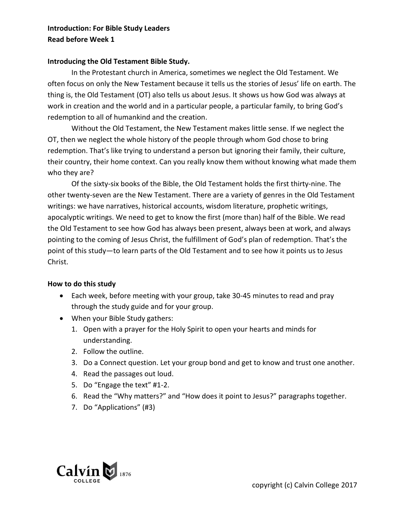## **Introduction: For Bible Study Leaders Read before Week 1**

## **Introducing the Old Testament Bible Study.**

In the Protestant church in America, sometimes we neglect the Old Testament. We often focus on only the New Testament because it tells us the stories of Jesus' life on earth. The thing is, the Old Testament (OT) also tells us about Jesus. It shows us how God was always at work in creation and the world and in a particular people, a particular family, to bring God's redemption to all of humankind and the creation.

Without the Old Testament, the New Testament makes little sense. If we neglect the OT, then we neglect the whole history of the people through whom God chose to bring redemption. That's like trying to understand a person but ignoring their family, their culture, their country, their home context. Can you really know them without knowing what made them who they are?

Of the sixty-six books of the Bible, the Old Testament holds the first thirty-nine. The other twenty-seven are the New Testament. There are a variety of genres in the Old Testament writings: we have narratives, historical accounts, wisdom literature, prophetic writings, apocalyptic writings. We need to get to know the first (more than) half of the Bible. We read the Old Testament to see how God has always been present, always been at work, and always pointing to the coming of Jesus Christ, the fulfillment of God's plan of redemption. That's the point of this study—to learn parts of the Old Testament and to see how it points us to Jesus Christ.

## **How to do this study**

- Each week, before meeting with your group, take 30-45 minutes to read and pray through the study guide and for your group.
- When your Bible Study gathers:
	- 1. Open with a prayer for the Holy Spirit to open your hearts and minds for understanding.
	- 2. Follow the outline.
	- 3. Do a Connect question. Let your group bond and get to know and trust one another.
	- 4. Read the passages out loud.
	- 5. Do "Engage the text" #1-2.
	- 6. Read the "Why matters?" and "How does it point to Jesus?" paragraphs together.
	- 7. Do "Applications" (#3)